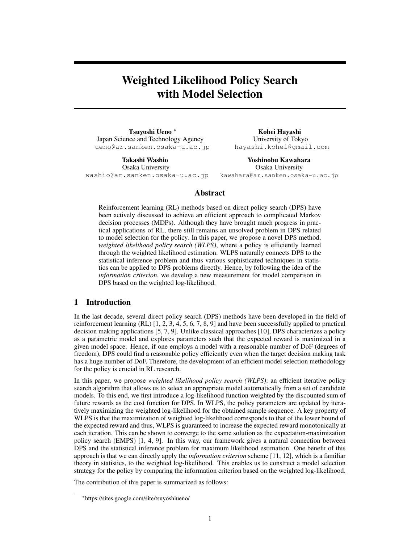# Weighted Likelihood Policy Search with Model Selection

Tsuyoshi Ueno *<sup>∗</sup>* Japan Science and Technology Agency ueno@ar.sanken.osaka-u.ac.jp

Takashi Washio Osaka University washio@ar.sanken.osaka-u.ac.jp

Kohei Hayashi University of Tokyo hayashi.kohei@gmail.com

Yoshinobu Kawahara Osaka University kawahara@ar.sanken.osaka-u.ac.jp

# Abstract

Reinforcement learning (RL) methods based on direct policy search (DPS) have been actively discussed to achieve an efficient approach to complicated Markov decision processes (MDPs). Although they have brought much progress in practical applications of RL, there still remains an unsolved problem in DPS related to model selection for the policy. In this paper, we propose a novel DPS method, *weighted likelihood policy search (WLPS)*, where a policy is efficiently learned through the weighted likelihood estimation. WLPS naturally connects DPS to the statistical inference problem and thus various sophisticated techniques in statistics can be applied to DPS problems directly. Hence, by following the idea of the *information criterion*, we develop a new measurement for model comparison in DPS based on the weighted log-likelihood.

# 1 Introduction

In the last decade, several direct policy search (DPS) methods have been developed in the field of reinforcement learning (RL) [1, 2, 3, 4, 5, 6, 7, 8, 9] and have been successfully applied to practical decision making applications [5, 7, 9]. Unlike classical approaches [10], DPS characterizes a policy as a parametric model and explores parameters such that the expected reward is maximized in a given model space. Hence, if one employs a model with a reasonable number of DoF (degrees of freedom), DPS could find a reasonable policy efficiently even when the target decision making task has a huge number of DoF. Therefore, the development of an efficient model selection methodology for the policy is crucial in RL research.

In this paper, we propose *weighted likelihood policy search (WLPS)*: an efficient iterative policy search algorithm that allows us to select an appropriate model automatically from a set of candidate models. To this end, we first introduce a log-likelihood function weighted by the discounted sum of future rewards as the cost function for DPS. In WLPS, the policy parameters are updated by iteratively maximizing the weighted log-likelihood for the obtained sample sequence. A key property of WLPS is that the maximization of weighted log-likelihood corresponds to that of the lower bound of the expected reward and thus, WLPS is guaranteed to increase the expected reward monotonically at each iteration. This can be shown to converge to the same solution as the expectation-maximization policy search (EMPS) [1, 4, 9]. In this way, our framework gives a natural connection between DPS and the statistical inference problem for maximum likelihood estimation. One benefit of this approach is that we can directly apply the *information criterion* scheme [11, 12], which is a familiar theory in statistics, to the weighted log-likelihood. This enables us to construct a model selection strategy for the policy by comparing the information criterion based on the weighted log-likelihood.

The contribution of this paper is summarized as follows:

*<sup>∗</sup>* https://sites.google.com/site/tsuyoshiueno/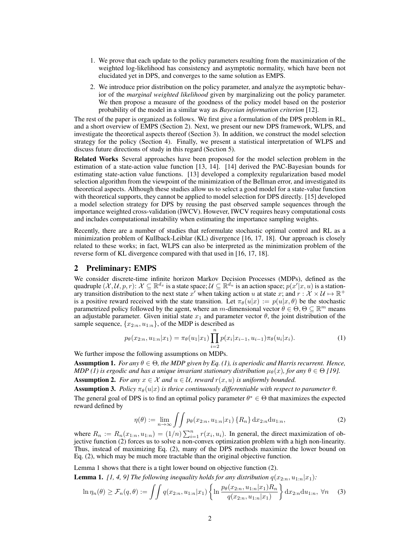- 1. We prove that each update to the policy parameters resulting from the maximization of the weighted log-likelihood has consistency and asymptotic normality, which have been not elucidated yet in DPS, and converges to the same solution as EMPS.
- 2. We introduce prior distribution on the policy parameter, and analyze the asymptotic behavior of the *marginal weighted likelihood* given by marginalizing out the policy parameter. We then propose a measure of the goodness of the policy model based on the posterior probability of the model in a similar way as *Bayesian information criterion* [12].

The rest of the paper is organized as follows. We first give a formulation of the DPS problem in RL, and a short overview of EMPS (Section 2). Next, we present our new DPS framework, WLPS, and investigate the theoretical aspects thereof (Section 3). In addition, we construct the model selection strategy for the policy (Section 4). Finally, we present a statistical interpretation of WLPS and discuss future directions of study in this regard (Section 5).

Related Works Several approaches have been proposed for the model selection problem in the estimation of a state-action value function [13, 14]. [14] derived the PAC-Bayesian bounds for estimating state-action value functions. [13] developed a complexity regularization based model selection algorithm from the viewpoint of the minimization of the Bellman error, and investigated its theoretical aspects. Although these studies allow us to select a good model for a state-value function with theoretical supports, they cannot be applied to model selection for DPS directly. [15] developed a model selection strategy for DPS by reusing the past observed sample sequences through the importance weighted cross-validation (IWCV). However, IWCV requires heavy computational costs and includes computational instability when estimating the importance sampling weights.

Recently, there are a number of studies that reformulate stochastic optimal control and RL as a minimization problem of Kullback-Leiblar (KL) divergence [16, 17, 18]. Our approach is closely related to these works; in fact, WLPS can also be interpreted as the minimization problem of the reverse form of KL divergence compared with that used in [16, 17, 18].

# 2 Preliminary: EMPS

We consider discrete-time infinite horizon Markov Decision Processes (MDPs), defined as the quadruple  $(\mathcal{X}, \mathcal{U}, p, r)$ :  $\mathcal{X} \subseteq \mathbb{R}^{d_x}$  is a state space;  $\mathcal{U} \subseteq \mathbb{R}^{d_u}$  is an action space;  $p(x'|x, u)$  is a stationary transition distribution to the next state  $x'$  when taking action *u* at state *x*; and  $r : \mathcal{X} \times \mathcal{U} \mapsto \mathbb{R}^+$ is a positive reward received with the state transition. Let  $\pi_{\theta}(u|x) := p(u|x, \theta)$  be the stochastic parametrized policy followed by the agent, where an *m*-dimensional vector  $\theta \in \Theta$ ,  $\Theta \subseteq \mathbb{R}^m$  means an adjustable parameter. Given initial state  $x_1$  and parameter vector  $\theta$ , the joint distribution of the sample sequence,  $\{x_{2:n}, u_{1:n}\}$ , of the MDP is described as

$$
p_{\theta}(x_{2:n}, u_{1:n}|x_1) = \pi_{\theta}(u_1|x_1) \prod_{i=2}^{n} p(x_i|x_{i-1}, u_{i-1}) \pi_{\theta}(u_i|x_i).
$$
 (1)

We further impose the following assumptions on MDPs.

**Assumption 1.** *For any*  $\theta \in \Theta$ , the MDP given by Eq. (1), is aperiodic and Harris recurrent. Hence, *MDP* (1) is ergodic and has a unique invariant stationary distribution  $\mu_{\theta}(x)$ , for any  $\theta \in \Theta$  [19]. Assumption 2. *For any*  $x \in \mathcal{X}$  *and*  $u \in \mathcal{U}$ *, reward*  $r(x, u)$  *is uniformly bounded.* 

**Assumption 3.** *Policy*  $\pi_{\theta}(u|x)$  *is thrice continuously differentiable with respect to parameter*  $\theta$ *.* The general goal of DPS is to find an optimal policy parameter  $\theta^* \in \Theta$  that maximizes the expected reward defined by

$$
\eta(\theta) := \lim_{n \to \infty} \iint p_{\theta}(x_{2:n}, u_{1:n}|x_1) \{R_n\} dx_{2:n} du_{1:n}, \tag{2}
$$

where  $R_n := R_n(x_{1:n}, u_{1:n}) = (1/n) \sum_{i=1}^n r(x_i, u_i)$ . In general, the direct maximization of objective function (2) forces us to solve a non-convex optimization problem with a high non-linearity. Thus, instead of maximizing Eq. (2), many of the DPS methods maximize the lower bound on Eq. (2), which may be much more tractable than the original objective function.

Lemma 1 shows that there is a tight lower bound on objective function (2). **Lemma 1.** [1, 4, 9] The following inequality holds for any distribution  $q(x_{2:n}, u_{1:n}|x_1)$ :

$$
\ln \eta_n(\theta) \ge \mathcal{F}_n(q, \theta) := \iint q(x_{2:n}, u_{1:n}|x_1) \left\{ \ln \frac{p_\theta(x_{2:n}, u_{1:n}|x_1) R_n}{q(x_{2:n}, u_{1:n}|x_1)} \right\} dx_{2:n} du_{1:n}, \forall n \quad (3)
$$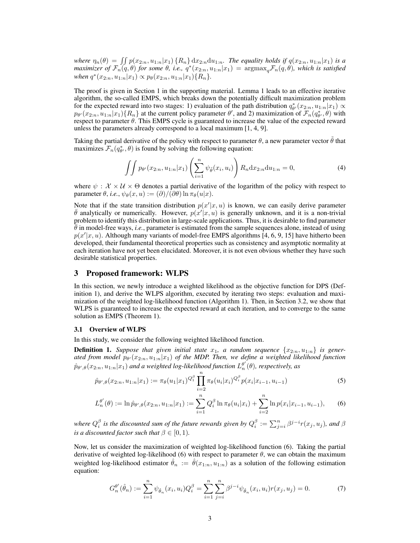where  $\eta_n(\theta) = \iint p(x_{2:n}, u_{1:n}|x_1) \{R_n\} dx_{2:n} du_{1:n}$ . The equality holds if  $q(x_{2:n}, u_{1:n}|x_1)$  is a maximizer of  $\mathcal{F}_n(q,\theta)$  for some  $\theta$ , i.e.,  $q^*(x_{2:n},u_{1:n}|x_1) = \mathrm{argmax}_q \mathcal{F}_n(q,\theta)$ , which is satisfied  $when q^*(x_{2:n}, u_{1:n}|x_1) \propto p_\theta(x_{2:n}, u_{1:n}|x_1) \{R_n\}.$ 

The proof is given in Section 1 in the supporting material. Lemma 1 leads to an effective iterative algorithm, the so-called EMPS, which breaks down the potentially difficult maximization problem for the expected reward into two stages: 1) evaluation of the path distribution  $q_{\theta}^*(x_{2:n}, u_{1:n}|x_1) \propto$  $p_{\theta}(x_{2:n}, u_{1:n}|x_1)\{R_n\}$  at the current policy parameter  $\theta'$ , and 2) maximization of  $\mathcal{F}_n(q_{\theta'}^*, \theta)$  with respect to parameter *θ*. This EMPS cycle is guaranteed to increase the value of the expected reward unless the parameters already correspond to a local maximum [1, 4, 9].

Taking the partial derivative of the policy with respect to parameter  $\theta$ , a new parameter vector  $\tilde{\theta}$  that maximizes  $\mathcal{F}_n(q_{\theta}^*, \theta)$  is found by solving the following equation:

$$
\iint p_{\theta'}(x_{2:n}, u_{1:n}|x_1) \left(\sum_{i=1}^n \psi_{\tilde{\theta}}(x_i, u_i)\right) R_n \mathrm{d}x_{2:n} \mathrm{d}u_{1:n} = 0,\tag{4}
$$

where  $\psi : \mathcal{X} \times \mathcal{U} \times \Theta$  denotes a partial derivative of the logarithm of the policy with respect to parameter  $\theta$ , *i.e.*,  $\psi_{\theta}(x, u) := (\partial)/(\partial \theta) \ln \pi_{\theta}(u|x)$ .

Note that if the state transition distribution  $p(x'|x, u)$  is known, we can easily derive parameter  $\bar{\theta}$  analytically or numerically. However,  $p(x'|x,u)$  is generally unknown, and it is a non-trivial problem to identify this distribution in large-scale applications. Thus, it is desirable to find parameter  $\theta$  in model-free ways, *i.e.*, parameter is estimated from the sample sequences alone, instead of using  $p(x'|x, u)$ . Although many variants of model-free EMPS algorithms [4, 6, 9, 15] have hitherto been developed, their fundamental theoretical properties such as consistency and asymptotic normality at each iteration have not yet been elucidated. Moreover, it is not even obvious whether they have such desirable statistical properties.

# 3 Proposed framework: WLPS

In this section, we newly introduce a weighted likelihood as the objective function for DPS (Definition 1), and derive the WLPS algorithm, executed by iterating two steps: evaluation and maximization of the weighted log-likelihood function (Algorithm 1). Then, in Section 3.2, we show that WLPS is guaranteed to increase the expected reward at each iteration, and to converge to the same solution as EMPS (Theorem 1).

#### 3.1 Overview of WLPS

In this study, we consider the following weighted likelihood function.

**Definition 1.** Suppose that given initial state  $x_1$ , a random sequence  $\{x_{2:n}, u_{1:n}\}$  is gener*ated from model p<sup>θ</sup> ′* (*x*2:*n, u*1:*n|x*1) *of the MDP. Then, we define a weighted likelihood function*  $\hat{p}_{\theta',\theta}(x_{2:n},u_{1:n}|x_1)$  and a weighted log-likelihood function  $L_n^{\theta'}(\theta)$ , respectively, as

$$
\hat{p}_{\theta',\theta}(x_{2:n}, u_{1:n}|x_1) := \pi_{\theta}(u_1|x_1)^{Q_1^{\beta}} \prod_{i=2}^n \pi_{\theta}(u_i|x_i)^{Q_i^{\beta}} p(x_i|x_{i-1}, u_{i-1}) \tag{5}
$$

$$
L_n^{\theta'}(\theta) := \ln \hat{p}_{\theta',\theta}(x_{2:n}, u_{1:n}|x_1) := \sum_{i=1}^n Q_i^{\beta} \ln \pi_{\theta}(u_i|x_i) + \sum_{i=2}^n \ln p(x_i|x_{i-1}, u_{i-1}),
$$
 (6)

where  $Q_i^{\beta}$  is the discounted sum of the future rewards given by  $Q_i^{\beta}:=\sum_{j=i}^n\beta^{j-i}r(x_j,u_j)$ , and  $\beta$ *is a discounted factor such that*  $\beta \in [0, 1)$ *.* 

Now, let us consider the maximization of weighted log-likelihood function (6). Taking the partial derivative of weighted log-likelihood (6) with respect to parameter *θ*, we can obtain the maximum weighted log-likelihood estimator  $\hat{\theta}_n := \hat{\theta}(x_{1:n}, u_{1:n})$  as a solution of the following estimation equation:

$$
G_n^{\theta'}(\hat{\theta}_n) := \sum_{i=1}^n \psi_{\hat{\theta}_n}(x_i, u_i) Q_i^{\beta} = \sum_{i=1}^n \sum_{j=i}^n \beta^{j-i} \psi_{\hat{\theta}_n}(x_i, u_i) r(x_j, u_j) = 0.
$$
 (7)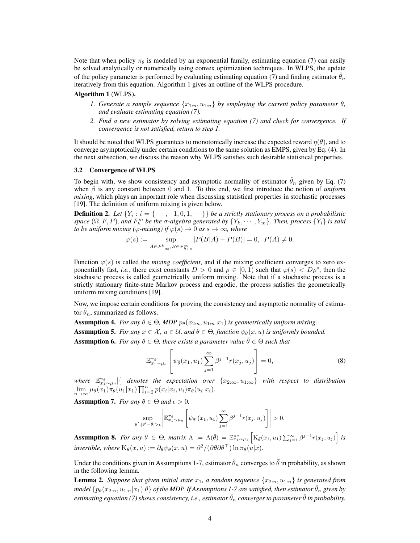Note that when policy  $\pi_{\theta}$  is modeled by an exponential family, estimating equation (7) can easily be solved analytically or numerically using convex optimization techniques. In WLPS, the update of the policy parameter is performed by evaluating estimating equation (7) and finding estimator  $\hat{\theta}_n$ iteratively from this equation. Algorithm 1 gives an outline of the WLPS procedure.

## Algorithm 1 (WLPS).

- *1. Generate a sample sequence*  $\{x_{1:n}, u_{1:n}\}$  *by employing the current policy parameter*  $\theta$ *, and evaluate estimating equation (7).*
- *2. Find a new estimator by solving estimating equation (7) and check for convergence. If convergence is not satisfied, return to step 1.*

It should be noted that WLPS guarantees to monotonically increase the expected reward  $\eta(\theta)$ , and to converge asymptotically under certain conditions to the same solution as EMPS, given by Eq. (4). In the next subsection, we discuss the reason why WLPS satisfies such desirable statistical properties.

#### 3.2 Convergence of WLPS

To begin with, we show consistency and asymptotic normality of estimator  $\hat{\theta}_n$  given by Eq. (7) when *β* is any constant between 0 and 1. To this end, we first introduce the notion of *uniform mixing*, which plays an important role when discussing statistical properties in stochastic processes [19]. The definition of uniform mixing is given below.

**Definition 2.** Let  $\{Y_i : i = \{ \cdots, -1, 0, 1, \cdots \} \}$  be a strictly stationary process on a probabilistic space  $(\Omega, F, P)$ , and  $F_k^m$  be the  $\sigma$ -algebra generated by  $\{Y_k, \cdots, Y_m\}$ . Then, process  $\{Y_i\}$  is said *to be uniform mixing (* $\varphi$ *-mixing) if*  $\varphi(s) \to 0$  *as*  $s \to \infty$ *, where* 

$$
\varphi(s) := \sup_{A \in \mathcal{F}_{-\infty}^k, B \in \mathcal{F}_{k+s}^{\infty}} |P(B|A) - P(B)| = 0, \ \ P(A) \neq 0.
$$

Function  $\varphi(s)$  is called the *mixing coefficient*, and if the mixing coefficient converges to zero exponentially fast, *i.e.*, there exist constants  $D > 0$  and  $\rho \in [0, 1)$  such that  $\varphi(s) < D\rho^s$ , then the stochastic process is called geometrically uniform mixing. Note that if a stochastic process is a strictly stationary finite-state Markov process and ergodic, the process satisfies the geometrically uniform mixing conditions [19].

Now, we impose certain conditions for proving the consistency and asymptotic normality of estimator  $\hat{\theta}_n$ , summarized as follows.

**Assumption 4.** *For any*  $\theta \in \Theta$ *, MDP*  $p_{\theta}(x_{2:n}, u_{1:n}|x_1)$  *is geometrically uniform mixing.* 

Assumption 5. *For any*  $x \in \mathcal{X}$ ,  $u \in \mathcal{U}$ , and  $\theta \in \Theta$ , function  $\psi_{\theta}(x, u)$  is uniformly bounded.

**Assumption 6.** *For any*  $\theta \in \Theta$ *, there exists a parameter value*  $\bar{\theta} \in \Theta$  *such that* 

$$
\mathbb{E}_{x_1 \sim \mu_\theta}^{\pi_\theta} \left[ \psi_{\bar{\theta}}(x_1, u_1) \sum_{j=1}^{\infty} \beta^{j-1} r(x_j, u_j) \right] = 0, \tag{8}
$$

*where*  $\mathbb{E}_{x_1 \sim \mu_\theta}^{\pi_\theta}[\cdot]$  *denotes the expectation over*  $\{x_{2:\infty}, u_{1:\infty}\}$  *with respect to distribution*  $\lim_{n\to\infty}\mu_{\theta}(x_1)\pi_{\theta}(u_1|x_1)\prod_{i=2}^n p(x_i|x_i,u_i)\pi_{\theta}(u_i|x_i).$ 

**Assumption 7.** *For any*  $\theta \in \Theta$  *and*  $\epsilon > 0$ *,* 

$$
\sup_{\theta':|\theta'-\bar{\theta}|>\epsilon} \left| \mathbb{E}_{x_1 \sim \mu_\theta}^{\pi_\theta} \left[ \psi_{\theta'}(x_1, u_1) \sum_{j=1}^\infty \beta^{j-1} r(x_j, u_j) \right] \right| > 0.
$$

**Assumption 8.** For any  $\theta \in \Theta$ , matrix  $A := A(\bar{\theta}) = \mathbb{E}_{x_1 \sim \mu_1}^{\pi_{\theta}} \left[ K_{\bar{\theta}}(x_1, u_1) \sum_{j=1}^{\infty} \beta^{j-1} r(x_j, u_j) \right]$  is *invertible, where*  $K_{\theta}(x, u) := \partial_{\theta} \psi_{\theta}(x, u) = \partial^{2} /(\partial \theta \partial \theta^{T}) \ln \pi_{\theta}(u|x)$ .

Under the conditions given in Assumptions 1-7, estimator  $\hat{\theta}_n$  converges to  $\bar{\theta}$  in probability, as shown in the following lemma.

**Lemma 2.** *Suppose that given initial state*  $x_1$ *, a random sequence*  $\{x_{2:n}, u_{1:n}\}$  *is generated from*  $m$ odel  $\{p_\theta(x_{2:n}, u_{1:n}|x_1)|\theta\}$  of the MDP. If Assumptions 1-7 are satisfied, then estimator  $\hat{\theta}_n$  given by *estimating equation (7) shows consistency, i.e., estimator*  $\hat{\theta}_n$  *converges to parameter*  $\bar{\theta}$  *in probability.*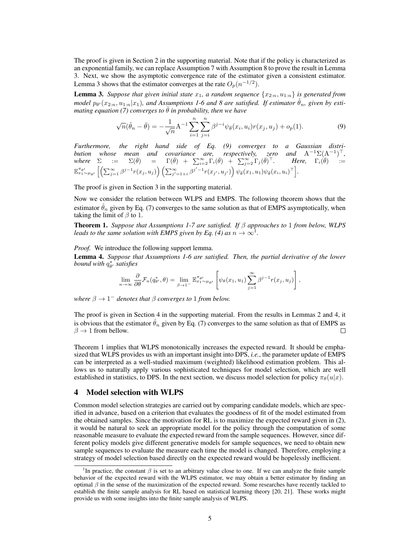The proof is given in Section 2 in the supporting material. Note that if the policy is characterized as an exponential family, we can replace Assumption 7 with Assumption 8 to prove the result in Lemma 3. Next, we show the asymptotic convergence rate of the estimator given a consistent estimator. Lemma 3 shows that the estimator converges at the rate  $O_p(n^{-1/2})$ .

**Lemma 3.** Suppose that given initial state  $x_1$ , a random sequence  $\{x_{2:n}, u_{1:n}\}$  is generated from *model*  $p_{\theta'}(x_{2:n}, u_{1:n}|x_1)$ , and Assumptions 1-6 and 8 are satisfied. If estimator  $\hat{\theta}_n$ , given by esti*mating equation (7) converges to*  $\overline{\theta}$  *in probability, then we have* 

$$
\sqrt{n}(\hat{\theta}_n - \bar{\theta}) = -\frac{1}{\sqrt{n}} A^{-1} \sum_{i=1}^n \sum_{j=i}^n \beta^{j-i} \psi_{\bar{\theta}}(x_i, u_i) r(x_j, u_j) + o_p(1).
$$
 (9)

*Furthermore, the right hand side of Eq. (9) converges to a Gaussian distribution whose mean and covariance are, respectively, zero and*  $A^{-1}\Sigma(A^{-1})^{\top}$ , *where*  $\Sigma$  :=  $\Sigma(\bar{\theta})$  =  $\Gamma(\bar{\theta})$  +  $\sum_{i=2}^{\infty} \Gamma_i(\bar{\theta})$  +  $\sum_{j=2}^{\infty} \Gamma_j(\bar{\theta})^{\top}$ *. Here,*  $\Gamma_i(\bar{\theta})$  :=  $\mathbb{E}_{x_1 \sim \mu_{\theta'}}^{\pi_{\theta'}} \left[ \left( \sum_{j=1}^{\infty} \beta^{j-1} r(x_j,u_j) \right) \left( \sum_{j'=1+i}^{\infty} \beta^{j'-1} r(x_{j'},u_{j'}) \right) \psi_{\bar{\theta}}(x_1,u_1) \psi_{\bar{\theta}}(x_i,u_i)^\top \right]$ 

The proof is given in Section 3 in the supporting material.

Now we consider the relation between WLPS and EMPS. The following theorem shows that the estimator  $\hat{\theta}_n$  given by Eq. (7) converges to the same solution as that of EMPS asymptotically, when taking the limit of *β* to 1.

Theorem 1. *Suppose that Assumptions 1-7 are satisfied. If β approaches to* 1 *from below, WLPS leads to the same solution with EMPS given by Eq. (4) as*  $n \to \infty^1$ *.* 

## *Proof.* We introduce the following support lemma.

Lemma 4. *Suppose that Assumptions 1-6 are satisfied. Then, the partial derivative of the lower bound with q ∗ θ ′ satisfies*

$$
\lim_{n\to\infty}\frac{\partial}{\partial\theta}\mathcal{F}_n(q_{\theta'}^*,\theta)=\lim_{\beta\to 1^-}\mathbb{E}_{x_1\sim\mu_{\theta'}}^{\pi_{\theta'}}\left[\psi_\theta(x_1,u_1)\sum_{j=1}^\infty\beta^{j-1}r(x_j,u_j)\right],
$$

*where*  $\beta \rightarrow 1^-$  *denotes that*  $\beta$  *converges to* 1 *from below.* 

The proof is given in Section 4 in the supporting material. From the results in Lemmas 2 and 4, it is obvious that the estimator  $\hat{\theta}_n$  given by Eq. (7) converges to the same solution as that of EMPS as  $\beta \to 1$  from bellow.  $\beta \rightarrow 1$  from bellow.

Theorem 1 implies that WLPS monotonically increases the expected reward. It should be emphasized that WLPS provides us with an important insight into DPS, *i.e.*, the parameter update of EMPS can be interpreted as a well-studied maximum (weighted) likelihood estimation problem. This allows us to naturally apply various sophisticated techniques for model selection, which are well established in statistics, to DPS. In the next section, we discuss model selection for policy  $\pi_{\theta}(u|x)$ .

# 4 Model selection with WLPS

Common model selection strategies are carried out by comparing candidate models, which are specified in advance, based on a criterion that evaluates the goodness of fit of the model estimated from the obtained samples. Since the motivation for RL is to maximize the expected reward given in (2), it would be natural to seek an appropriate model for the policy through the computation of some reasonable measure to evaluate the expected reward from the sample sequences. However, since different policy models give different generative models for sample sequences, we need to obtain new sample sequences to evaluate the measure each time the model is changed. Therefore, employing a strategy of model selection based directly on the expected reward would be hopelessly inefficient.

<sup>&</sup>lt;sup>1</sup>In practice, the constant  $\beta$  is set to an arbitrary value close to one. If we can analyze the finite sample behavior of the expected reward with the WLPS estimator, we may obtain a better estimator by finding an optimal  $\beta$  in the sense of the maximization of the expected reward. Some researches have recently tackled to establish the finite sample analysis for RL based on statistical learning theory [20, 21]. These works might provide us with some insights into the finite sample analysis of WLPS.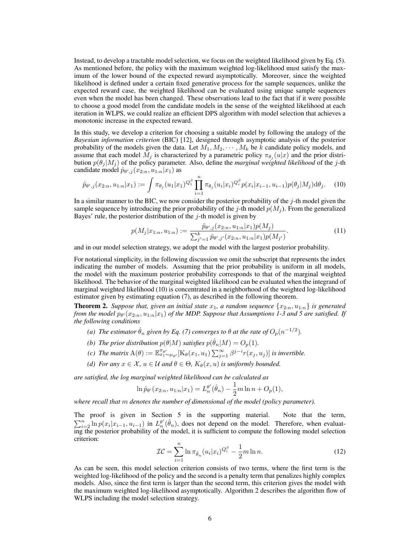Instead, to develop a tractable model selection, we focus on the weighted likelihood given by Eq. (5). As mentioned before, the policy with the maximum weighted log-likelihood must satisfy the maximum of the lower bound of the expected reward asymptotically. Moreover, since the weighted likelihood is defined under a certain fixed generative process for the sample sequences, unlike the expected reward case, the weighted likelihood can be evaluated using unique sample sequences even when the model has been changed. These observations lead to the fact that if it were possible to choose a good model from the candidate models in the sense of the weighted likelihood at each iteration in WLPS, we could realize an efficient DPS algorithm with model selection that achieves a monotonic increase in the expected reward.

In this study, we develop a criterion for choosing a suitable model by following the analogy of the *Bayesian information criterion* (BIC) [12], designed through asymptotic analysis of the posterior probability of the models given the data. Let  $M_1, M_2, \cdots, M_k$  be *k* candidate policy models, and assume that each model  $M_j$  is characterized by a parametric policy  $\pi_{\theta_j}(u|x)$  and the prior distribution  $p(\theta_i|M_i)$  of the policy parameter. Also, define the *marginal weighted likelihood* of the *j*-th candidate model  $\hat{p}_{\theta',j}(x_{2:n}, u_{1:n}|x_1)$  as

$$
\hat{p}_{\theta',j}(x_{2:n}, u_{1:n}|x_1) := \int \pi_{\theta_j}(u_1|x_1)^{Q_1^{\beta}} \prod_{i=1}^n \pi_{\theta_j}(u_i|x_i)^{Q_i^{\beta}} p(x_i|x_{i-1}, u_{i-1}) p(\theta_j|M_j) d\theta_j.
$$
 (10)

In a similar manner to the BIC, we now consider the posterior probability of the *j*-th model given the sample sequence by introducing the prior probability of the *j*-th model  $p(M_i)$ . From the generalized Bayes' rule, the posterior distribution of the *j*-th model is given by

$$
p(M_j|x_{1:n}, u_{1:n}) := \frac{\hat{p}_{\theta',j}(x_{2:n}, u_{1:n}|x_1)p(M_j)}{\sum_{j'=1}^k \hat{p}_{\theta',j'}(x_{2:n}, u_{1:n}|x_1)p(M_{j'})}.
$$
\n(11)

and in our model selection strategy, we adopt the model with the largest posterior probability.

For notational simplicity, in the following discussion we omit the subscript that represents the index indicating the number of models. Assuming that the prior probability is uniform in all models, the model with the maximum posterior probability corresponds to that of the marginal weighted likelihood. The behavior of the marginal weighted likelihood can be evaluated when the integrand of marginal weighted likelihood (10) is concentrated in a neighborhood of the weighted log-likelihood estimator given by estimating equation (7), as described in the following theorem.

**Theorem 2.** *Suppose that, given an initial state*  $x_1$ *, a random sequence*  $\{x_{2:n}, u_{1:n}\}$  *is generated from the model p<sup>θ</sup> ′* (*x*2:*n, u*1:*n|x*1) *of the MDP. Suppose that Assumptions 1-3 and 5 are satisfied. If the following conditions*

- *(a) The estimator*  $\hat{\theta}_n$  *given by Eq.* (7) converges to  $\theta$  at the rate of  $O_p(n^{-1/2})$ .
- *(b) The prior distribution*  $p(\theta|M)$  *satisfies*  $p(\hat{\theta}_n|M) = O_p(1)$ *.*
- (c) The matrix  $A(\theta) := \mathbb{E}_{x_1 \sim \mu_{\theta'}}^{\pi_{\theta'}} [K_{\theta}(x_1, u_1) \sum_{j=1}^{\infty} \beta^{j-i} r(x_j, u_j)]$  is invertible.
- *(d) For any*  $x \in \mathcal{X}$ ,  $u \in \mathcal{U}$  *and*  $\theta \in \Theta$ ,  $K_{\theta}(x, u)$  *is uniformly bounded.*

*are satisfied, the log marginal weighted likelihood can be calculated as*

$$
\ln \hat{p}_{\theta'}(x_{2:n}, u_{1:n}|x_1) = L_n^{\theta'}(\hat{\theta}_n) - \frac{1}{2}m \ln n + O_p(1),
$$

*where recall that m denotes the number of dimensional of the model (policy parameter).*

The proof is given in Section 5 in the supporting material. Note that the term,  $\sum_{i=2}^{n} \ln p(x_i | x_{i-1}, u_{i-1})$  in  $L_n^{\theta'}(\hat{\theta}_n)$ , does not depend on the model. Therefore, when evaluating the posterior probability of the model, it is sufficient to compute the following model selection criterion:

$$
\mathcal{IC} = \sum_{i=1}^{n} \ln \pi_{\hat{\theta}_n}(u_i|x_i)^{Q_i^{\beta}} - \frac{1}{2}m \ln n. \tag{12}
$$

As can be seen, this model selection criterion consists of two terms, where the first term is the weighted log-likelihood of the policy and the second is a penalty term that penalizes highly complex models. Also, since the first term is larger than the second term, this criterion gives the model with the maximum weighted log-likelihood asymptotically. Algorithm 2 describes the algorithm flow of WLPS including the model selection strategy.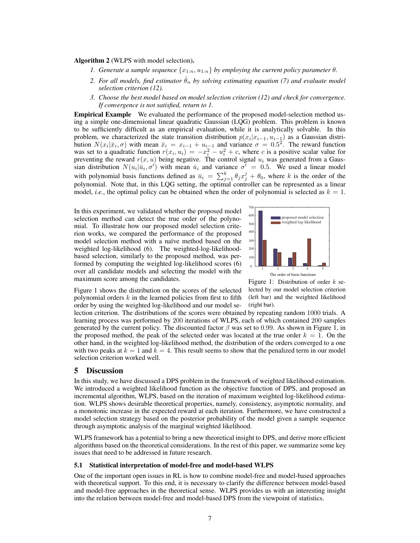Algorithm 2 (WLPS with model selection).

- *1. Generate a sample sequence*  $\{x_{1:n}, u_{1:n}\}$  *by employing the current policy parameter*  $\theta$ *.*
- *2. For all models, find estimator*  $\hat{\theta}_n$  *by solving estimating equation (7) and evaluate model selection criterion (12).*
- *3. Choose the best model based on model selection criterion (12) and check for convergence. If convergence is not satisfied, return to 1.*

Empirical Example We evaluated the performance of the proposed model-selection method using a simple one-dimensional linear quadratic Gaussian (LQG) problem. This problem is known to be sufficiently difficult as an empirical evaluation, while it is analytically solvable. In this problem, we characterized the state transition distribution  $p(x_i|x_{i-1}, u_{i-1})$  as a Gaussian distribution  $N(x_i|\bar{x}_i,\sigma)$  with mean  $\bar{x}_i = x_{i-1} + u_{i-1}$  and variance  $\sigma = 0.5^2$ . The reward function was set to a quadratic function  $r(x_i, u_i) = -x_i^2 - u_i^2 + c$ , where *c* is a positive scalar value for preventing the reward  $r(x, u)$  being negative. The control signal  $u_i$  was generated from a Gaussian distribution  $N(u_i|\bar{u}_i, \sigma')$  with mean  $\bar{u}_i$  and variance  $\sigma' = 0.5$ . We used a linear model with polynomial basis functions defined as  $\bar{u}_i = \sum_{j=1}^k \theta_j x_j^j + \theta_0$ , where *k* is the order of the polynomial. Note that, in this LQG setting, the optimal controller can be represented as a linear model, *i.e.*, the optimal policy can be obtained when the order of polynomial is selected as  $k = 1$ .

In this experiment, we validated whether the proposed model selection method can detect the true order of the polynomial. To illustrate how our proposed model selection criterion works, we compared the performance of the proposed model selection method with a naïve method based on the weighted log-likelihood (6). The weighted-log-likelihoodbased selection, similarly to the proposed method, was performed by computing the weighted log-likelihood scores (6) over all candidate models and selecting the model with the maximum score among the candidates.



Figure 1 shows the distribution on the scores of the selected polynomial orders *k* in the learned policies from first to fifth order by using the weighted log-likelihood and our model se-

Figure 1: Distribution of order *k* selected by our model selection criterion (left bar) and the weighted likelihood (right bar).

lection criterion. The distributions of the scores were obtained by repeating random 1000 trials. A learning process was performed by 200 iterations of WLPS, each of which contained 200 samples generated by the current policy. The discounted factor  $\beta$  was set to 0.99. As shown in Figure 1, in the proposed method, the peak of the selected order was located at the true order  $k = 1$ . On the other hand, in the weighted log-likelihood method, the distribution of the orders converged to a one with two peaks at  $k = 1$  and  $k = 4$ . This result seems to show that the penalized term in our model selection criterion worked well.

#### 5 Discussion

In this study, we have discussed a DPS problem in the framework of weighted likelihood estimation. We introduced a weighted likelihood function as the objective function of DPS, and proposed an incremental algorithm, WLPS, based on the iteration of maximum weighted log-likelihood estimation. WLPS shows desirable theoretical properties, namely, consistency, asymptotic normality, and a monotonic increase in the expected reward at each iteration. Furthermore, we have constructed a model selection strategy based on the posterior probability of the model given a sample sequence through asymptotic analysis of the marginal weighted likelihood.

WLPS framework has a potential to bring a new theoretical insight to DPS, and derive more efficient algorithms based on the theoretical considerations. In the rest of this paper, we summarize some key issues that need to be addressed in future research.

#### 5.1 Statistical interpretation of model-free and model-based WLPS

One of the important open issues in RL is how to combine model-free and model-based approaches with theoretical support. To this end, it is necessary to clarify the difference between model-based and model-free approaches in the theoretical sense. WLPS provides us with an interesting insight into the relation between model-free and model-based DPS from the viewpoint of statistics.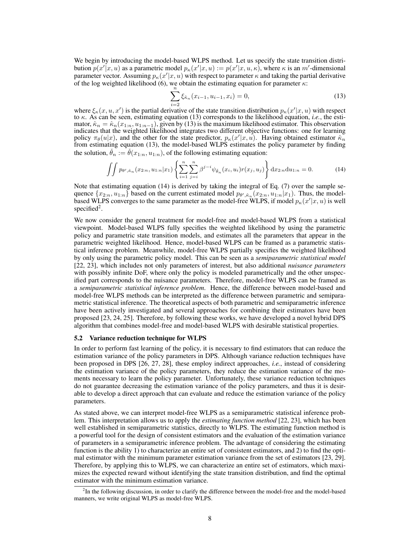We begin by introducing the model-based WLPS method. Let us specify the state transition distribution  $p(x'|x, u)$  as a parametric model  $p_{\kappa}(x'|x, u) := p(x'|x, u, \kappa)$ , where  $\kappa$  is an m'-dimensional parameter vector. Assuming  $p_{\kappa}(x'|x,u)$  with respect to parameter  $\kappa$  and taking the partial derivative of the log weighted likelihood (6), we obtain the estimating equation for parameter *κ*:

$$
\sum_{i=2}^{n} \xi_{\hat{\kappa}_n}(x_{i-1}, u_{i-1}, x_i) = 0,
$$
\n(13)

where  $\xi_{\kappa}(x, u, x')$  is the partial derivative of the state transition distribution  $p_{\kappa}(x'|x, u)$  with respect to *κ*. As can be seen, estimating equation (13) corresponds to the likelihood equation, *i.e.*, the estimator,  $\hat{\kappa}_n = \hat{\kappa}_n(x_{1:n}, u_{1:n-1})$ , given by (13) is the maximum likelihood estimator. This observation indicates that the weighted likelihood integrates two different objective functions: one for learning policy  $\pi_{\theta}(u|x)$ , and the other for the state predictor,  $p_{\kappa}(x'|x,u)$ . Having obtained estimator  $\hat{\kappa}_n$ from estimating equation (13), the model-based WLPS estimates the policy parameter by finding the solution,  $\check{\theta}_n := \check{\theta}(x_{1:n}, u_{1:n})$ , of the following estimating equation:

$$
\iint p_{\theta',\hat{\kappa}_n}(x_{2:n}, u_{1:n}|x_1) \left\{ \sum_{i=1}^n \sum_{j=i}^n \beta^{j-i} \psi_{\tilde{\theta}_n}(x_i, u_i) r(x_j, u_j) \right\} dx_{2:n} du_{1:n} = 0.
$$
 (14)

Note that estimating equation (14) is derived by taking the integral of Eq. (7) over the sample sequence  $\{x_{2:n}, u_{1:n}\}$  based on the current estimated model  $p_{\theta', \hat{\kappa}_n}(x_{2:n}, u_{1:n}|x_1)$ . Thus, the modelbased WLPS converges to the same parameter as the model-free WLPS, if model  $p_{\kappa}(x'|x, u)$  is well specified<sup>2</sup>.

We now consider the general treatment for model-free and model-based WLPS from a statistical viewpoint. Model-based WLPS fully specifies the weighted likelihood by using the parametric policy and parametric state transition models, and estimates all the parameters that appear in the parametric weighted likelihood. Hence, model-based WLPS can be framed as a parametric statistical inference problem. Meanwhile, model-free WLPS partially specifies the weighted likelihood by only using the parametric policy model. This can be seen as a *semiparametric statistical model* [22, 23], which includes not only parameters of interest, but also additional *nuisance parameters* with possibly infinite DoF, where only the policy is modeled parametrically and the other unspecified part corresponds to the nuisance parameters. Therefore, model-free WLPS can be framed as a *semiparametric statistical inference problem*. Hence, the difference between model-based and model-free WLPS methods can be interpreted as the difference between parametric and semiparametric statistical inference. The theoretical aspects of both parametric and semiparametric inference have been actively investigated and several approaches for combining their estimators have been proposed [23, 24, 25]. Therefore, by following these works, we have developed a novel hybrid DPS algorithm that combines model-free and model-based WLPS with desirable statistical properties.

#### 5.2 Variance reduction technique for WLPS

In order to perform fast learning of the policy, it is necessary to find estimators that can reduce the estimation variance of the policy parameters in DPS. Although variance reduction techniques have been proposed in DPS [26, 27, 28], these employ indirect approaches, *i.e.*, instead of considering the estimation variance of the policy parameters, they reduce the estimation variance of the moments necessary to learn the policy parameter. Unfortunately, these variance reduction techniques do not guarantee decreasing the estimation variance of the policy parameters, and thus it is desirable to develop a direct approach that can evaluate and reduce the estimation variance of the policy parameters.

As stated above, we can interpret model-free WLPS as a semiparametric statistical inference problem. This interpretation allows us to apply the *estimating function method* [22, 23], which has been well established in semiparametric statistics, directly to WLPS. The estimating function method is a powerful tool for the design of consistent estimators and the evaluation of the estimation variance of parameters in a semiparametric inference problem. The advantage of considering the estimating function is the ability 1) to characterize an entire set of consistent estimators, and 2) to find the optimal estimator with the minimum parameter estimation variance from the set of estimators [23, 29]. Therefore, by applying this to WLPS, we can characterize an entire set of estimators, which maximizes the expected reward without identifying the state transition distribution, and find the optimal estimator with the minimum estimation variance.

<sup>&</sup>lt;sup>2</sup>In the following discussion, in order to clarify the difference between the model-free and the model-based manners, we write original WLPS as model-free WLPS.